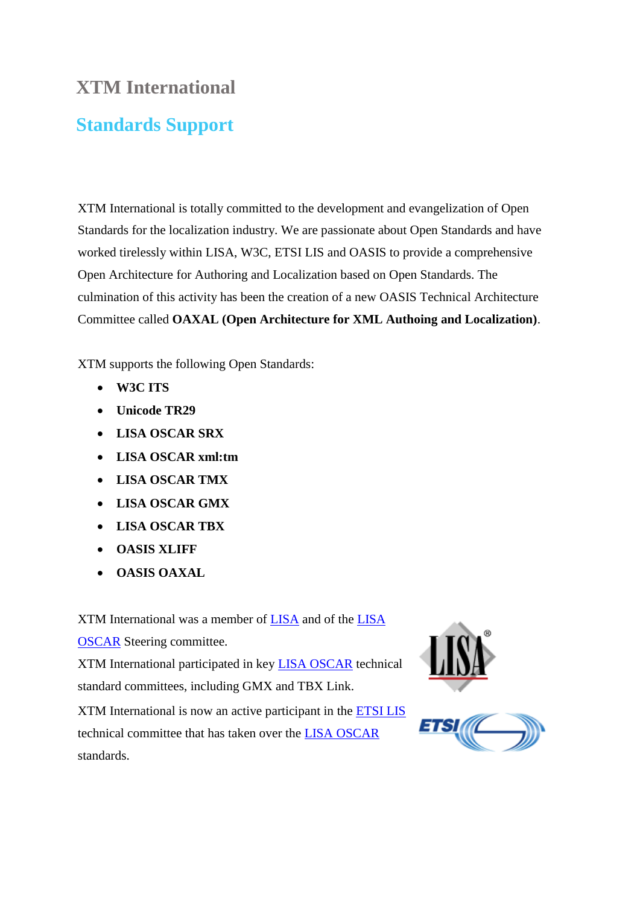## **XTM International**

## **Standards Support**

XTM International is totally committed to the development and evangelization of Open Standards for the localization industry. We are passionate about Open Standards and have worked tirelessly within LISA, W3C, ETSI LIS and OASIS to provide a comprehensive Open Architecture for Authoring and Localization based on Open Standards. The culmination of this activity has been the creation of a new OASIS Technical Architecture Committee called **OAXAL (Open Architecture for XML Authoing and Localization)**.

XTM supports the following Open Standards:

- **W3C ITS**
- **Unicode TR29**
- **LISA OSCAR SRX**
- **LISA OSCAR xml:tm**
- **LISA OSCAR TMX**
- **LISA OSCAR GMX**
- **LISA OSCAR TBX**
- **OASIS XLIFF**
- **OASIS OAXAL**

XTM International was a member of [LISA](http://www.gala-global.org/lisa-oscar-standards) and of the [LISA](http://www.gala-global.org/lisa-oscar-standards)  [OSCAR](http://www.gala-global.org/lisa-oscar-standards) Steering committee.

XTM International participated in key [LISA OSCAR](http://www.gala-global.org/lisa-oscar-standards) technical standard committees, including GMX and TBX Link.

XTM International is now an active participant in the [ETSI LIS](http://www.etsi.org/) technical committee that has taken over the [LISA OSCAR](http://www.gala-global.org/lisa-oscar-standards) standards.



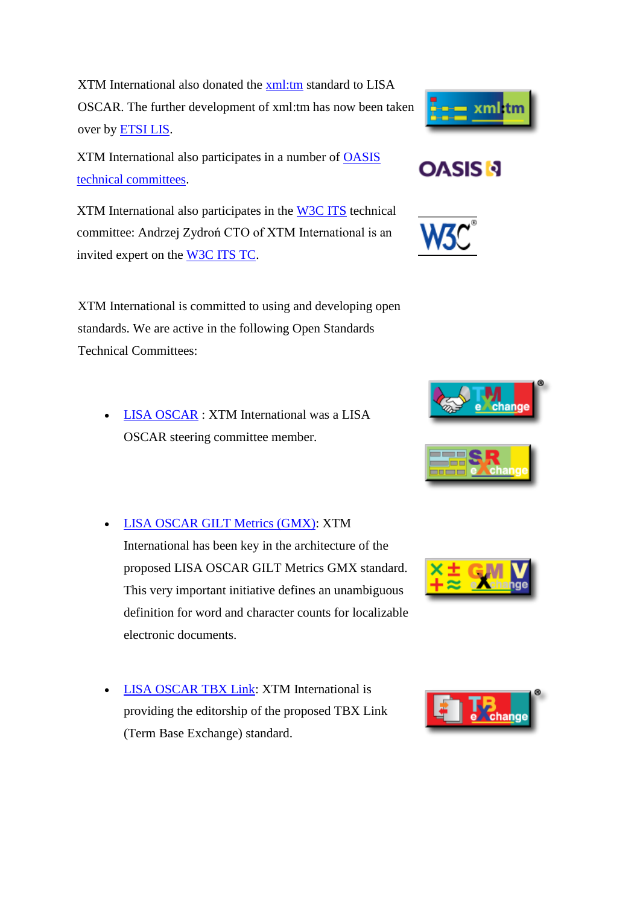XTM International also donated the [xml:tm](http://www.gala-global.org/oscarStandards/xml-tm/xml-tm.html) standard to LISA OSCAR. The further development of xml:tm has now been taken over by [ETSI LIS.](http://www.etsi.org/)

XTM International also participates in a number of [OASIS](http://www.oasis-open.org/) [technical committees.](http://www.oasis-open.org/committees/committees.php)

XTM International also participates in the [W3C ITS](http://www.w3.org/International/its/) technical committee: Andrzej Zydroń CTO of XTM International is an invited expert on the [W3C ITS TC.](http://www.w3.org/International/its/)

XTM International is committed to using and developing open standards. We are active in the following Open Standards Technical Committees:

- [LISA OSCAR](http://www.gala-global.org/lisa-oscar-standards) : XTM International was a LISA OSCAR steering committee member.
- [LISA OSCAR GILT Metrics \(GMX\):](http://www.gala-global.org/oscarStandards/gmx-v/gmx-v.html) XTM International has been key in the architecture of the proposed LISA OSCAR GILT Metrics GMX standard. This very important initiative defines an unambiguous definition for word and character counts for localizable electronic documents.
- [LISA OSCAR TBX Link:](http://www.gala-global.org/oscarStandards/tbx/tbx_oscar.pdf) XTM International is providing the editorship of the proposed TBX Link (Term Base Exchange) standard.